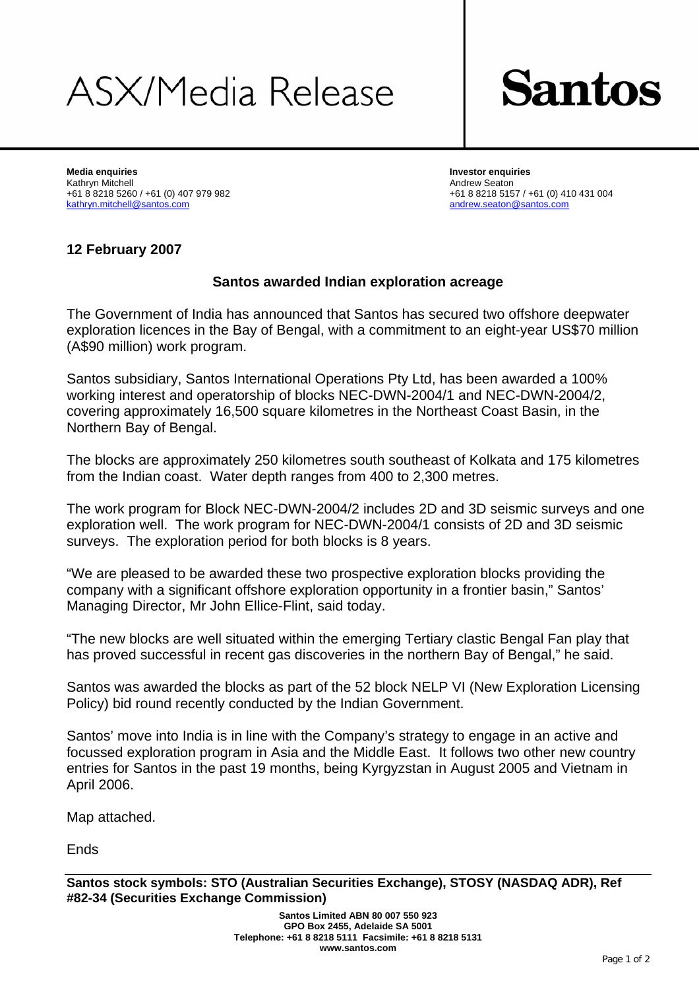# ASX/Media Release



**Media enquiries Investor enquiries**  Kathryn Mitchell Andrew Seaton +61 8 8218 5260 / +61 (0) 407 979 982 +61 8 8218 5157 / +61 (0) 410 431 004 kathryn.mitchell@santos.com andrew.seaton@santos.com

#### **12 February 2007**

#### **Santos awarded Indian exploration acreage**

The Government of India has announced that Santos has secured two offshore deepwater exploration licences in the Bay of Bengal, with a commitment to an eight-year US\$70 million (A\$90 million) work program.

Santos subsidiary, Santos International Operations Pty Ltd, has been awarded a 100% working interest and operatorship of blocks NEC-DWN-2004/1 and NEC-DWN-2004/2, covering approximately 16,500 square kilometres in the Northeast Coast Basin, in the Northern Bay of Bengal.

The blocks are approximately 250 kilometres south southeast of Kolkata and 175 kilometres from the Indian coast. Water depth ranges from 400 to 2,300 metres.

The work program for Block NEC-DWN-2004/2 includes 2D and 3D seismic surveys and one exploration well. The work program for NEC-DWN-2004/1 consists of 2D and 3D seismic surveys. The exploration period for both blocks is 8 years.

"We are pleased to be awarded these two prospective exploration blocks providing the company with a significant offshore exploration opportunity in a frontier basin," Santos' Managing Director, Mr John Ellice-Flint, said today.

"The new blocks are well situated within the emerging Tertiary clastic Bengal Fan play that has proved successful in recent gas discoveries in the northern Bay of Bengal," he said.

Santos was awarded the blocks as part of the 52 block NELP VI (New Exploration Licensing Policy) bid round recently conducted by the Indian Government.

Santos' move into India is in line with the Company's strategy to engage in an active and focussed exploration program in Asia and the Middle East. It follows two other new country entries for Santos in the past 19 months, being Kyrgyzstan in August 2005 and Vietnam in April 2006.

Map attached.

Ends

**Santos stock symbols: STO (Australian Securities Exchange), STOSY (NASDAQ ADR), Ref #82-34 (Securities Exchange Commission)**